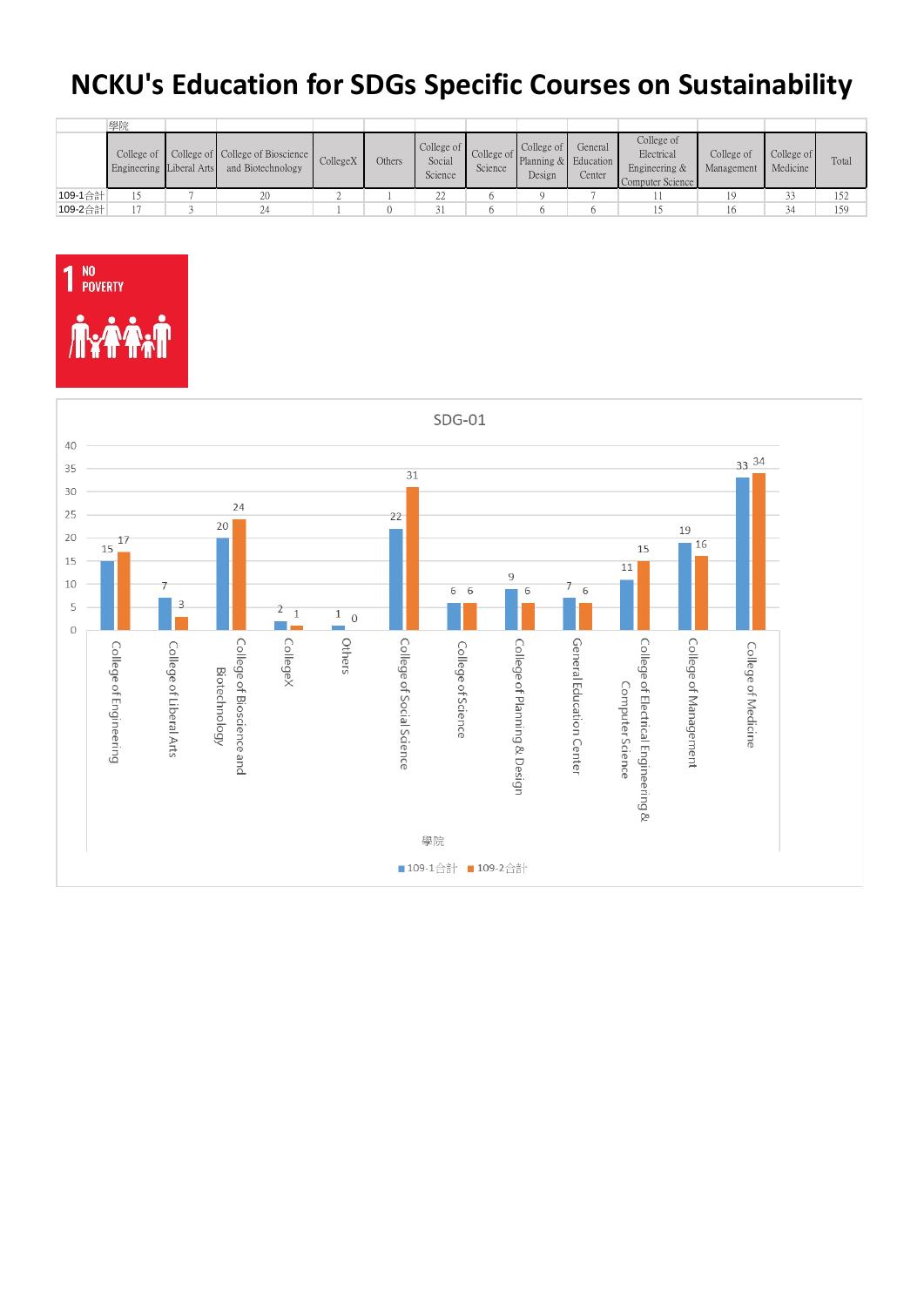## **NCKU's Education for SDGs Specific Courses on Sustainability**

|         | 學院                                     |                                                       |          |        |                                 |         |                                                         |                   |                                                               |                          |                        |       |
|---------|----------------------------------------|-------------------------------------------------------|----------|--------|---------------------------------|---------|---------------------------------------------------------|-------------------|---------------------------------------------------------------|--------------------------|------------------------|-------|
|         | College of<br>Engineering Liberal Arts | College of College of Bioscience<br>and Biotechnology | CollegeX | Others | College of<br>Social<br>Science | Science | College of<br>College of Planning & Education<br>Design | General<br>Center | College of<br>Electrical<br>Engineering &<br>Computer Science | College of<br>Management | College of<br>Medicine | Total |
| 109-1合計 |                                        | 20                                                    |          |        | 22                              |         |                                                         |                   |                                                               | 19                       | 33                     | 152   |
| 109-2合計 |                                        |                                                       |          |        |                                 |         |                                                         |                   |                                                               |                          | 34                     | 159   |



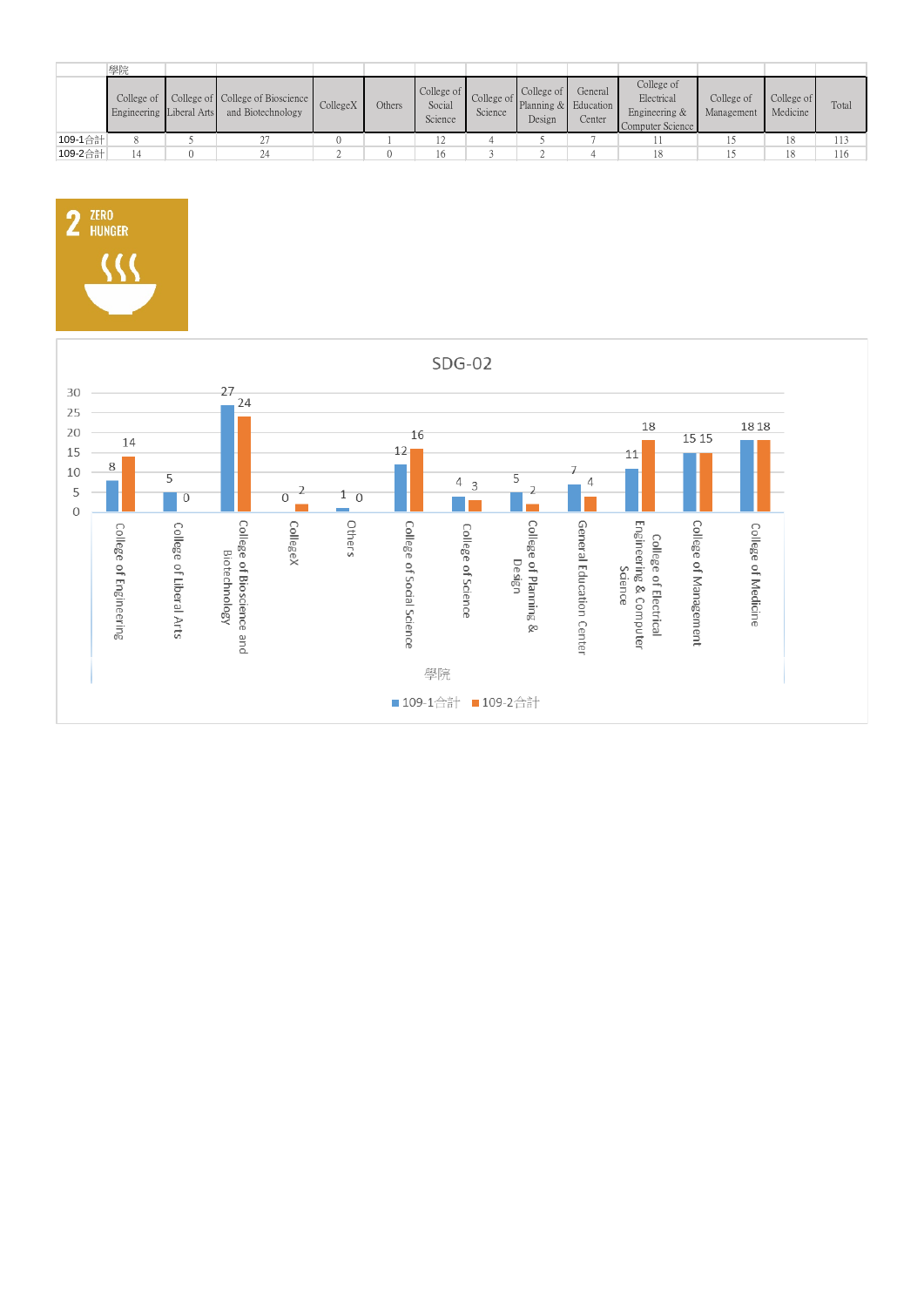|         | 學院                                     |                                                       |          |        |                                 |         |                                                         |                   |                                                               |                          |                        |       |
|---------|----------------------------------------|-------------------------------------------------------|----------|--------|---------------------------------|---------|---------------------------------------------------------|-------------------|---------------------------------------------------------------|--------------------------|------------------------|-------|
|         | College of<br>Engineering Liberal Arts | College of College of Bioscience<br>and Biotechnology | CollegeX | Others | College of<br>Social<br>Science | Science | College of<br>College of Planning & Education<br>Design | General<br>Center | College of<br>Electrical<br>Engineering &<br>Computer Science | College of<br>Management | College of<br>Medicine | Total |
| 109-1合計 |                                        |                                                       |          |        |                                 |         |                                                         |                   |                                                               |                          | 18                     | 113   |
| 109-2合計 |                                        | 24                                                    |          |        | 16                              |         |                                                         |                   |                                                               |                          | 18                     | 116   |



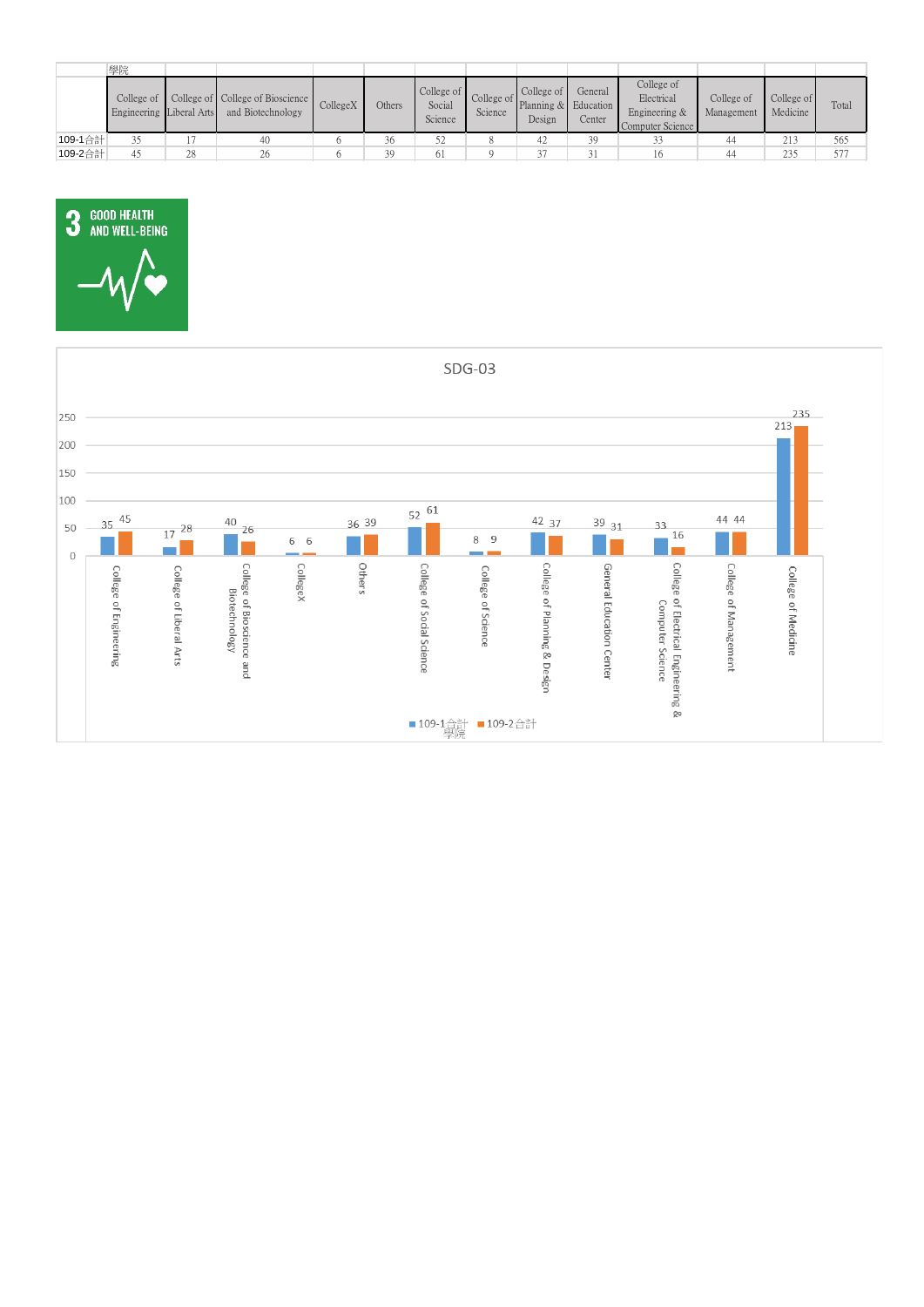|         | 學院                                                    |    |                                                       |          |        |                                 |         |                                                               |                                |                                                               |                          |                        |       |
|---------|-------------------------------------------------------|----|-------------------------------------------------------|----------|--------|---------------------------------|---------|---------------------------------------------------------------|--------------------------------|---------------------------------------------------------------|--------------------------|------------------------|-------|
|         | College of $\blacksquare$<br>Engineering Liberal Arts |    | College of College of Bioscience<br>and Biotechnology | CollegeX | Others | College of<br>Social<br>Science | Science | College of<br>$\therefore$ College of Planning & Fd<br>Design | General<br>Education<br>Center | College of<br>Electrical<br>Engineering &<br>Computer Science | College of<br>Management | College of<br>Medicine | Total |
| 109-1合計 | 35                                                    |    | 40                                                    |          | 36     | 52                              |         | 42                                                            | 39                             |                                                               | 44                       | 213                    | 565   |
| 109-2合計 | 4 <sup>5</sup>                                        | 28 | 26                                                    |          | 39     | 61                              |         | $\sim$ $\sim$                                                 | 31                             |                                                               | 44                       | 235                    | 577   |



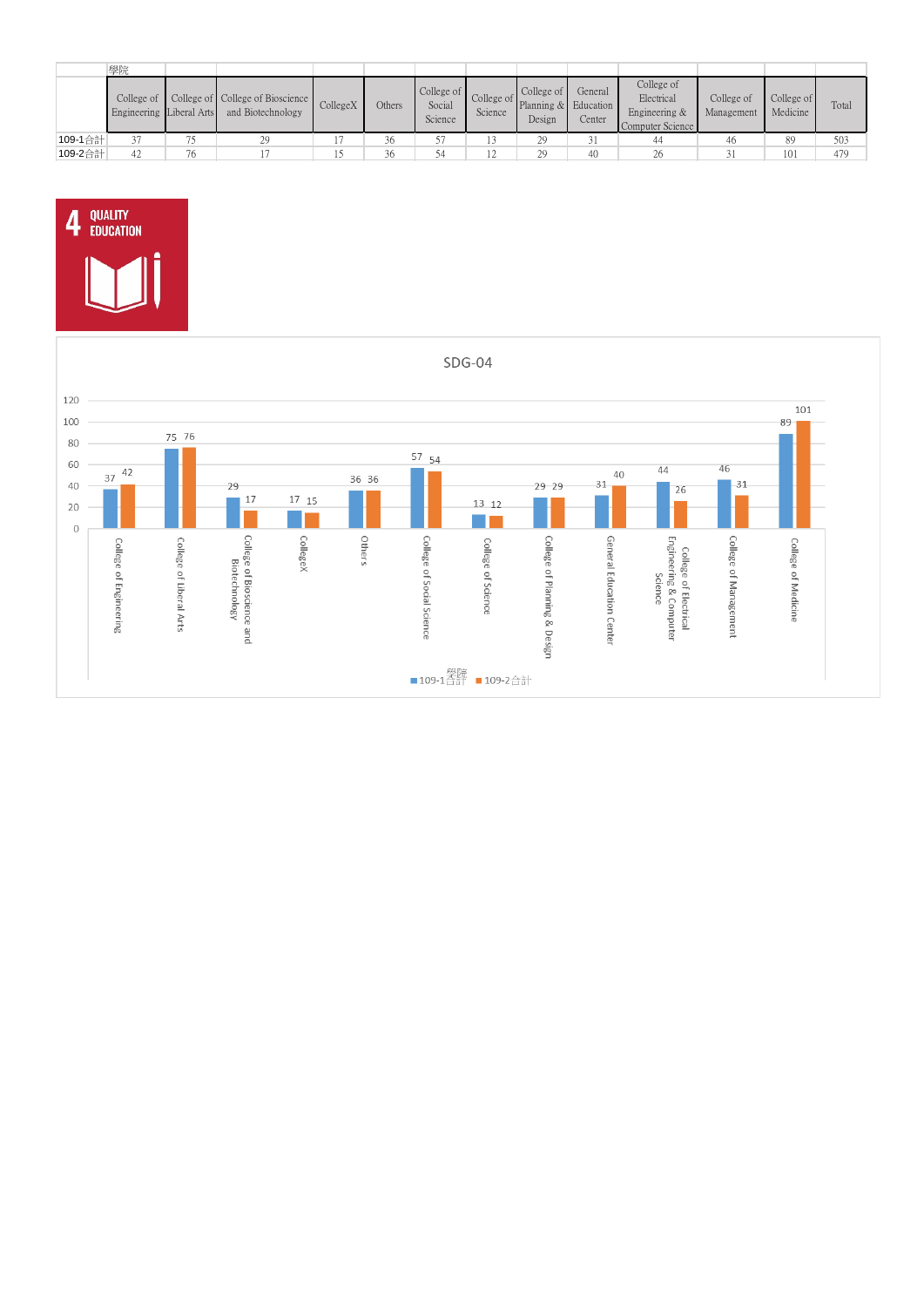|         | 學院                                     |    |                                                       |                |        |                                 |         |                                                                               |                   |                                                               |                          |                        |       |
|---------|----------------------------------------|----|-------------------------------------------------------|----------------|--------|---------------------------------|---------|-------------------------------------------------------------------------------|-------------------|---------------------------------------------------------------|--------------------------|------------------------|-------|
|         | College of<br>Engineering Liberal Arts |    | College of College of Bioscience<br>and Biotechnology | CollegeX       | Others | College of<br>Social<br>Science | Science | College of<br>$\sum_{n=1}^{\infty}$ College of Planning & Education<br>Design | General<br>Center | College of<br>Electrical<br>Engineering &<br>Computer Science | College of<br>Management | College of<br>Medicine | Total |
| 109-1合計 |                                        | Πc | 29                                                    |                | 36     |                                 |         | 29                                                                            |                   | 44                                                            | 46                       | 89                     | 503   |
| 109-2合計 | 42                                     | 76 |                                                       | . . <i>. .</i> | 36     | 54                              | - ∠     |                                                                               | 40                | 26                                                            |                          | 101                    | 479   |



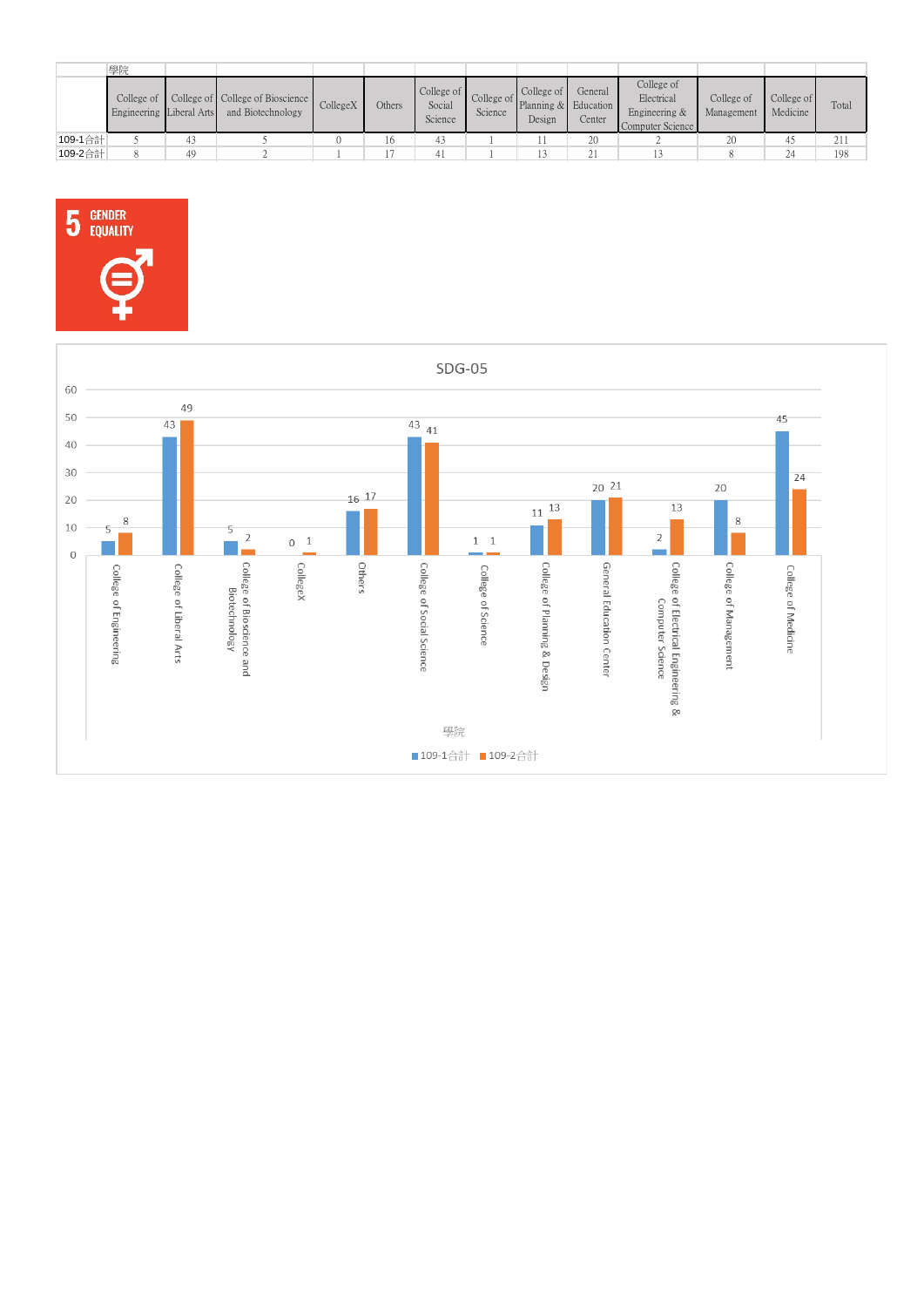|         | 學院                                     |    |                                                       |          |        |                                 |         |                                                                                                     |                   |                                                               |                          |                        |       |
|---------|----------------------------------------|----|-------------------------------------------------------|----------|--------|---------------------------------|---------|-----------------------------------------------------------------------------------------------------|-------------------|---------------------------------------------------------------|--------------------------|------------------------|-------|
|         | College of<br>Engineering Liberal Arts |    | College of College of Bioscience<br>and Biotechnology | CollegeX | Others | College of<br>Social<br>Science | Science | College of<br>$\sum_{n=1}^{\infty}$ College of $\sum_{n=1}^{\infty}$ Planning & Education<br>Design | General<br>Center | College of<br>Electrical<br>Engineering &<br>Computer Science | College of<br>Management | College of<br>Medicine | Total |
| 109-1合計 |                                        | 43 |                                                       |          |        | 43                              |         |                                                                                                     | 20                |                                                               | 20                       | д                      | 211   |
| 109-2合計 |                                        | 49 |                                                       |          |        |                                 |         |                                                                                                     | 21                |                                                               |                          | 24                     | 198   |



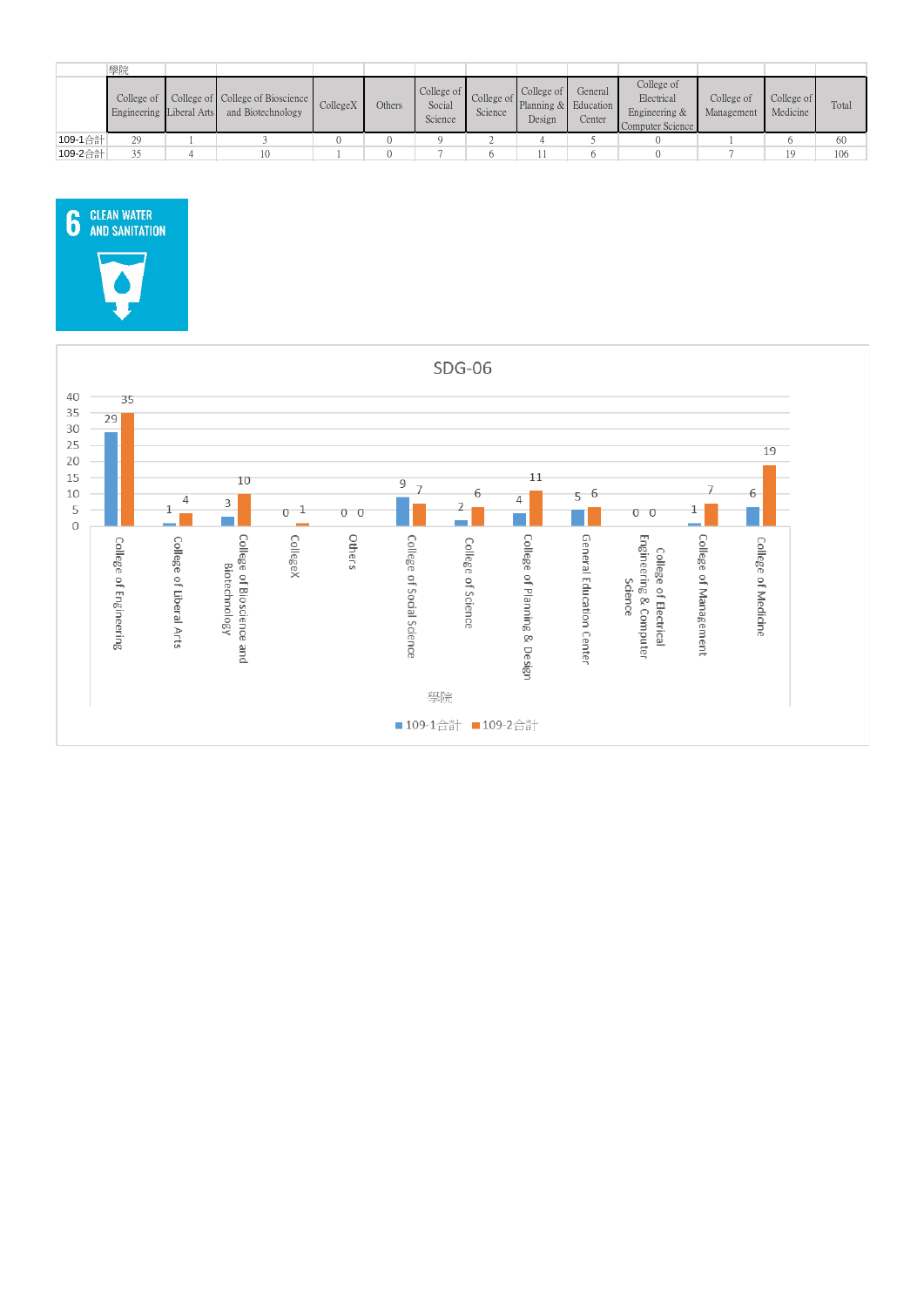|         | 學院                                     |                                                       |          |        |                                 |         |                                                         |                   |                                                               |                          |                        |       |
|---------|----------------------------------------|-------------------------------------------------------|----------|--------|---------------------------------|---------|---------------------------------------------------------|-------------------|---------------------------------------------------------------|--------------------------|------------------------|-------|
|         | College of<br>Engineering Liberal Arts | College of College of Bioscience<br>and Biotechnology | CollegeX | Others | College of<br>Social<br>Science | Science | College of<br>College of Planning & Education<br>Design | General<br>Center | College of<br>Electrical<br>Engineering &<br>Computer Science | College of<br>Management | College of<br>Medicine | Total |
| 109-1合計 | 29                                     |                                                       |          |        |                                 |         |                                                         |                   |                                                               |                          |                        | 60    |
| 109-2合計 | 25                                     |                                                       |          |        |                                 |         |                                                         |                   |                                                               |                          | 19                     | 106   |



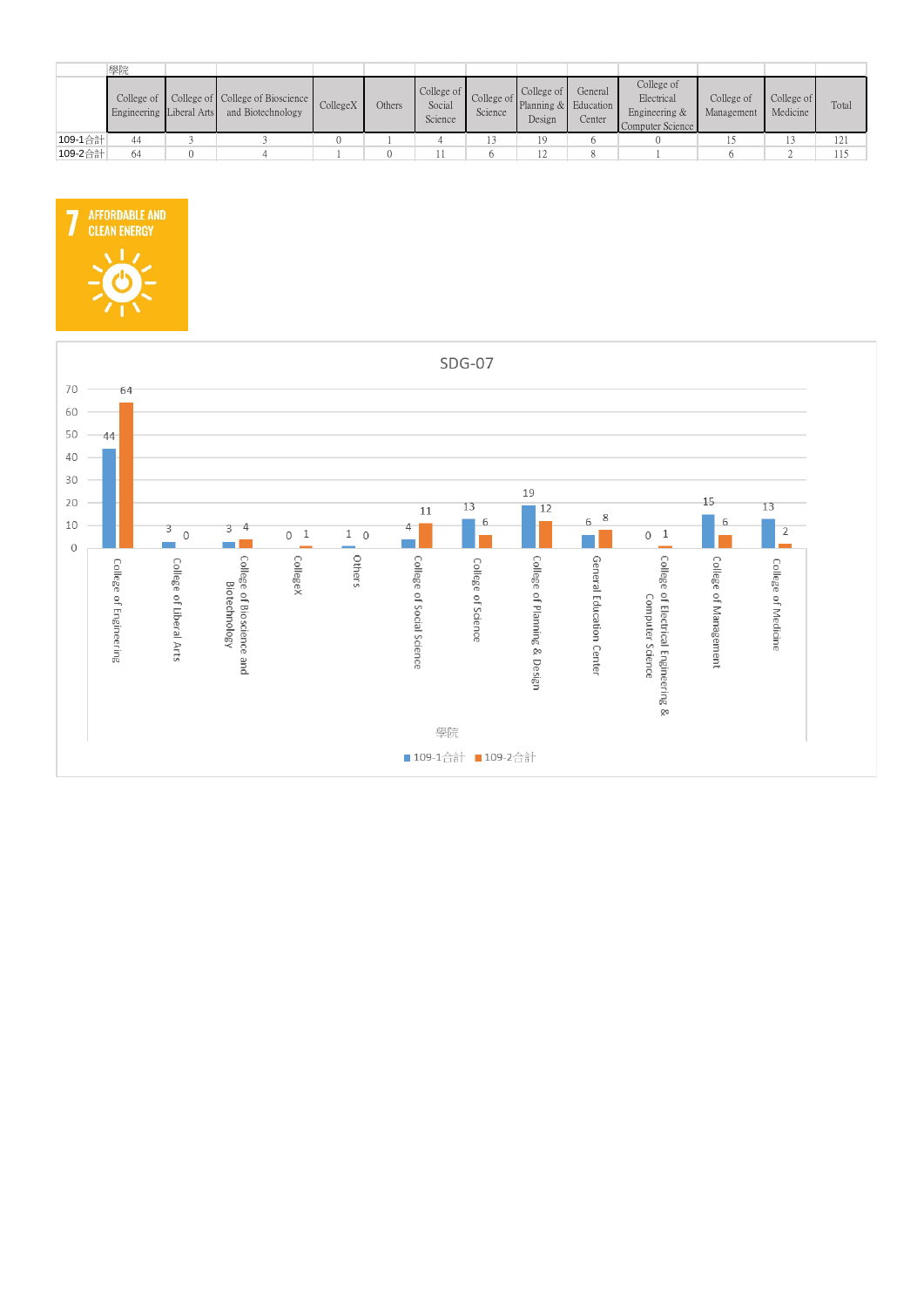|         | 學院                                                    |                                                       |          |        |                                 |         |                                                         |                   |                                                               |                          |                        |       |
|---------|-------------------------------------------------------|-------------------------------------------------------|----------|--------|---------------------------------|---------|---------------------------------------------------------|-------------------|---------------------------------------------------------------|--------------------------|------------------------|-------|
|         | College of $\blacksquare$<br>Engineering Liberal Arts | College of College of Bioscience<br>and Biotechnology | CollegeX | Others | College of<br>Social<br>Science | Science | College of<br>College of Planning & Education<br>Design | General<br>Center | College of<br>Electrical<br>Engineering &<br>Computer Science | College of<br>Management | College of<br>Medicine | Total |
| 109-1合計 | 44                                                    |                                                       |          |        |                                 |         |                                                         |                   |                                                               |                          |                        | 121   |
| 109-2合計 | 64                                                    |                                                       |          |        |                                 |         |                                                         |                   |                                                               |                          |                        | 115   |



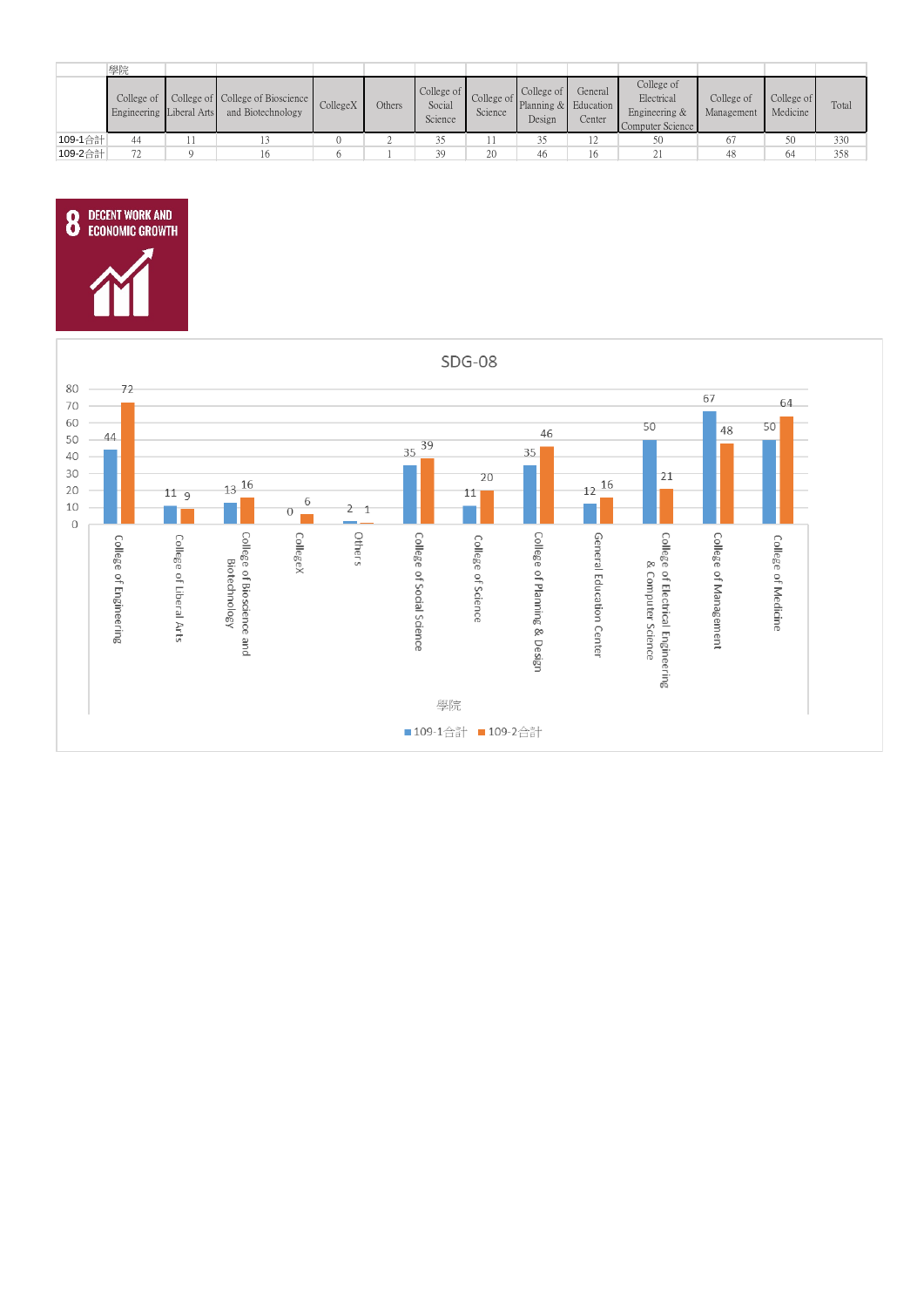|         | 學院                                     |                                                       |          |        |                                 |         |                      |                   |                                                               |                          |                        |       |
|---------|----------------------------------------|-------------------------------------------------------|----------|--------|---------------------------------|---------|----------------------|-------------------|---------------------------------------------------------------|--------------------------|------------------------|-------|
|         | College of<br>Engineering Liberal Arts | College of College of Bioscience<br>and Biotechnology | CollegeX | Others | College of<br>Social<br>Science | Science | College of<br>Design | General<br>Center | College of<br>Electrical<br>Engineering &<br>Computer Science | College of<br>Management | College of<br>Medicine | Total |
| 109-1合計 |                                        |                                                       |          |        |                                 |         |                      |                   | 50                                                            | 67                       | 50                     | 330   |
| 109-2合計 |                                        |                                                       |          |        | 39                              | 20      | 46                   | 16                | 41                                                            | 48                       | 64                     | 358   |



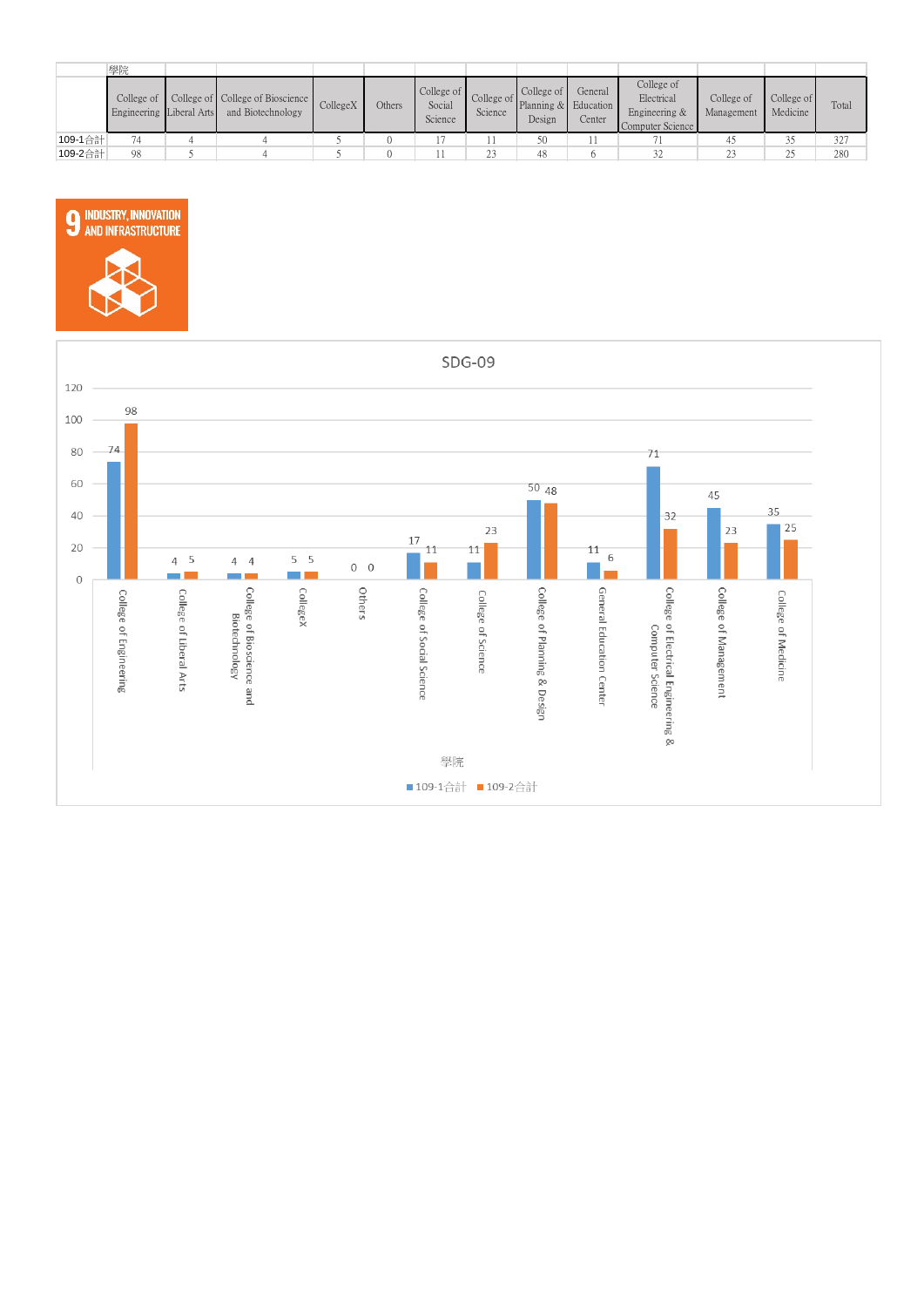|         | 學院                                             |                                                       |          |        |                                 |         |                                                                |                   |                                                               |                          |                        |       |
|---------|------------------------------------------------|-------------------------------------------------------|----------|--------|---------------------------------|---------|----------------------------------------------------------------|-------------------|---------------------------------------------------------------|--------------------------|------------------------|-------|
|         | College of $\vert$<br>Engineering Liberal Arts | College of College of Bioscience<br>and Biotechnology | CollegeX | Others | College of<br>Social<br>Science | Science | $\Box$ College of<br>College of Planning & Education<br>Design | General<br>Center | College of<br>Electrical<br>Engineering &<br>Computer Science | College of<br>Management | College of<br>Medicine | Total |
| 109-1合計 | 74                                             |                                                       |          |        |                                 |         | 50                                                             |                   |                                                               | 41                       | 25                     | 327   |
| 109-2合計 | 98                                             |                                                       |          |        |                                 | 23      | 48                                                             |                   |                                                               | 23                       | $\gamma$<br><u>_</u>   | 280   |



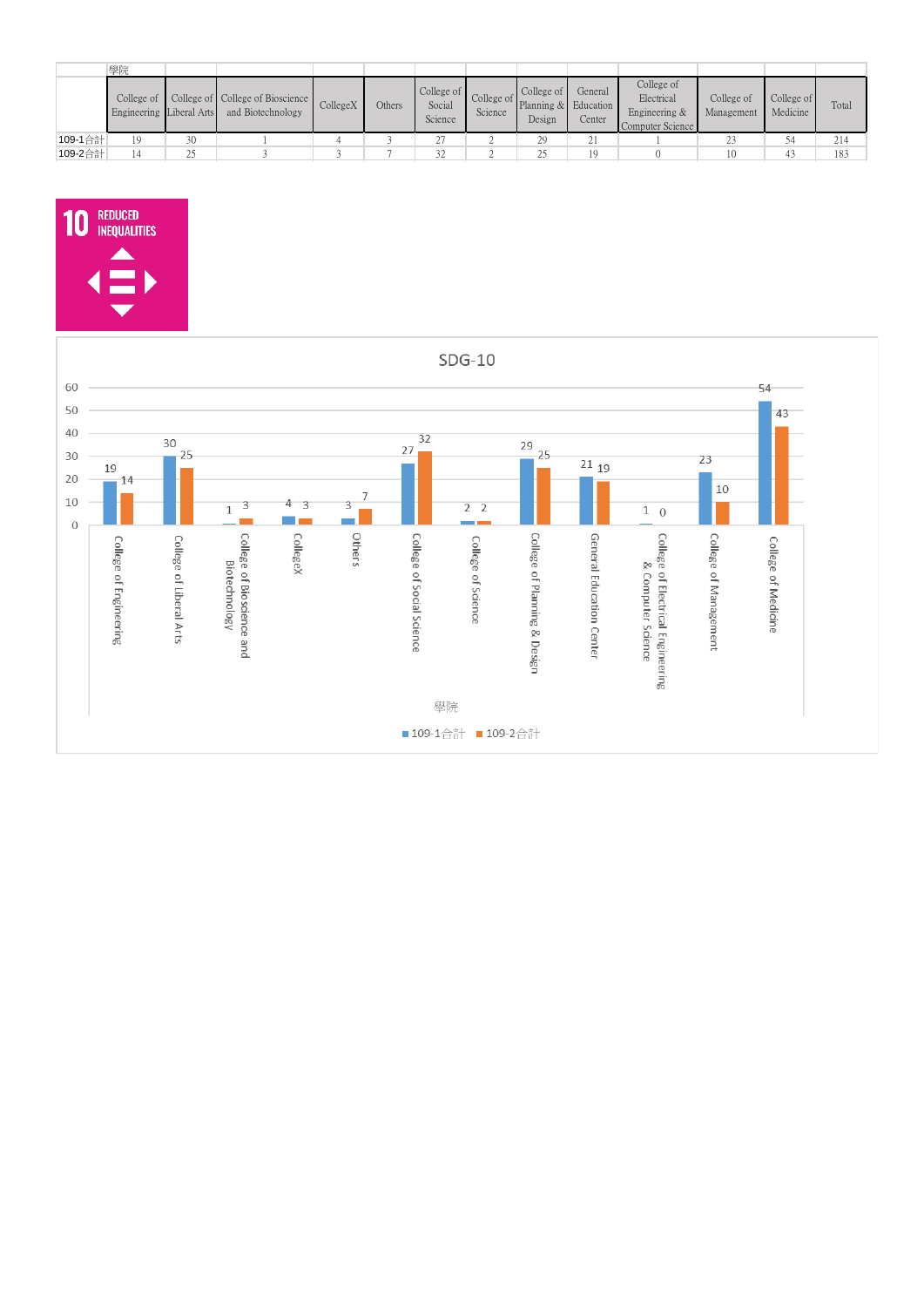|         | 學院                                             |                |                                                       |          |        |                                 |         |                                                         |                   |                                                               |                          |                        |       |
|---------|------------------------------------------------|----------------|-------------------------------------------------------|----------|--------|---------------------------------|---------|---------------------------------------------------------|-------------------|---------------------------------------------------------------|--------------------------|------------------------|-------|
|         | College of $\vert$<br>Engineering Liberal Arts |                | College of College of Bioscience<br>and Biotechnology | CollegeX | Others | College of<br>Social<br>Science | Science | College of<br>College of Planning & Education<br>Design | General<br>Center | College of<br>Electrical<br>Engineering &<br>Computer Science | College of<br>Management | College of<br>Medicine | Total |
| 109-1合計 | 19                                             | 30             |                                                       |          |        |                                 |         |                                                         | 21                |                                                               | 23                       | 54                     | 214   |
| 109-2合計 |                                                | $\gamma$<br>رے |                                                       |          |        | 32                              |         |                                                         | 19                |                                                               | 10                       | 43                     | 183   |



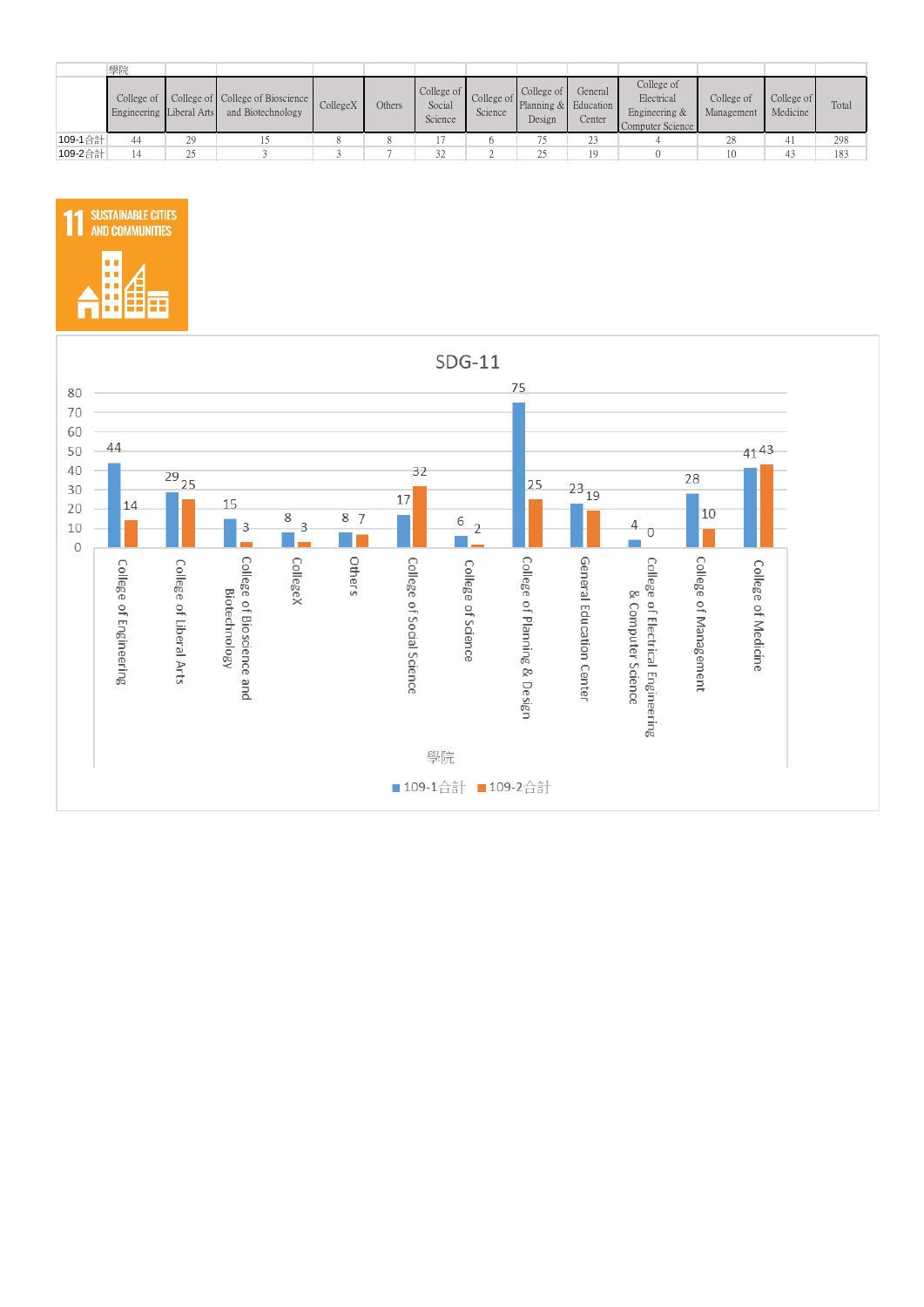|         | 學院                                     |                |                                                       |          |        |                                 |         |                                                         |                   |                                                               |                          |                        |       |
|---------|----------------------------------------|----------------|-------------------------------------------------------|----------|--------|---------------------------------|---------|---------------------------------------------------------|-------------------|---------------------------------------------------------------|--------------------------|------------------------|-------|
|         | College of<br>Engineering Liberal Arts |                | College of College of Bioscience<br>and Biotechnology | CollegeX | Others | College of<br>Social<br>Science | Science | College of<br>College of Planning & Education<br>Design | General<br>Center | College of<br>Electrical<br>Engineering &<br>Computer Science | College of<br>Management | College of<br>Medicine | Total |
| 109-1合計 | 44                                     | 29             |                                                       |          |        |                                 |         |                                                         | 23                |                                                               | 28                       | 41                     | 298   |
| 109-2合計 |                                        | $\gamma$<br>رے |                                                       |          |        | 32                              |         |                                                         | 19                |                                                               |                          | 43                     | 183   |



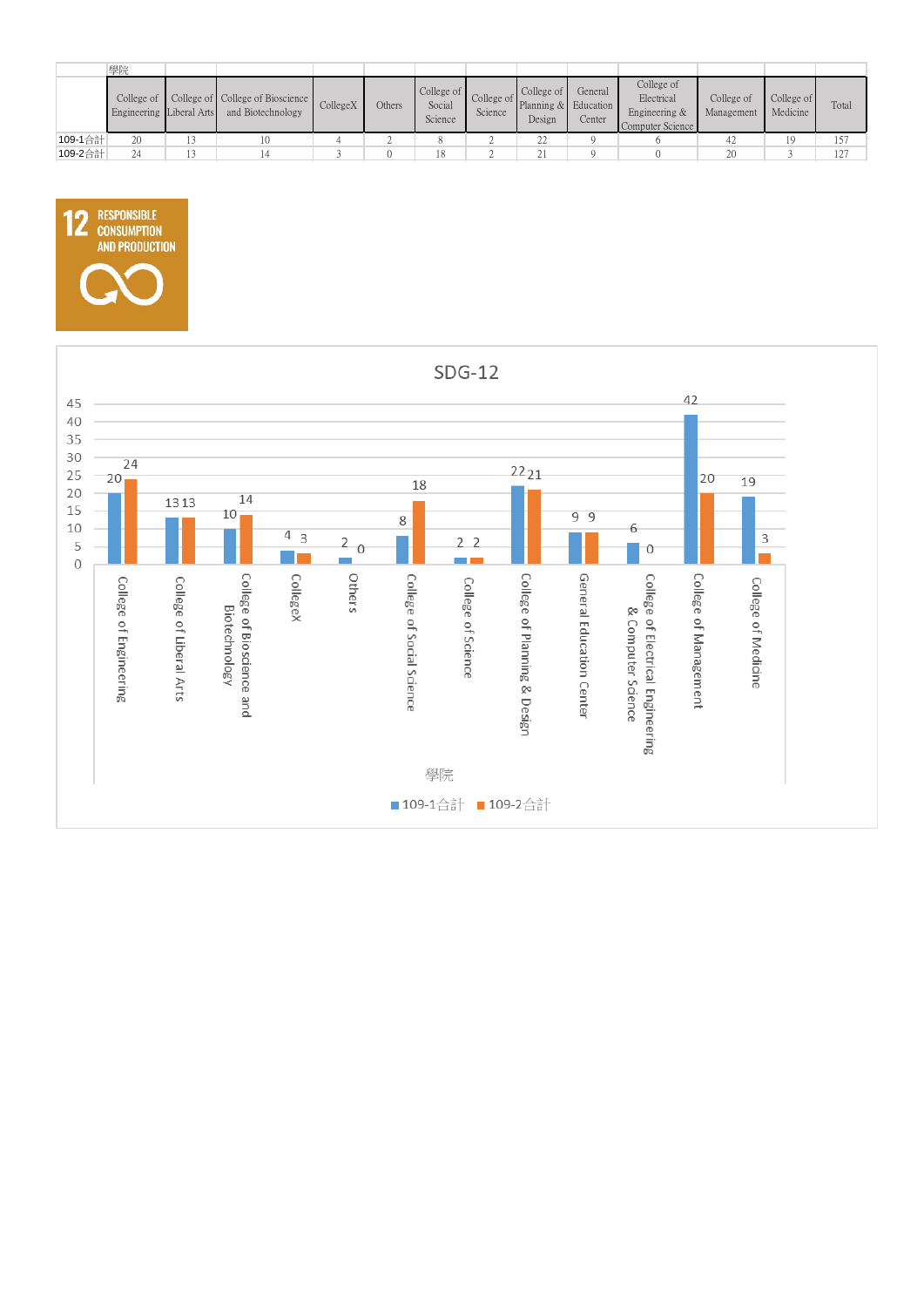|         | 學院                       |                                                                  |          |        |                                 |         |                                                                |                   |                                                               |                          |                        |       |
|---------|--------------------------|------------------------------------------------------------------|----------|--------|---------------------------------|---------|----------------------------------------------------------------|-------------------|---------------------------------------------------------------|--------------------------|------------------------|-------|
|         | Engineering Liberal Arts | College of College of College of Bioscience<br>and Biotechnology | CollegeX | Others | College of<br>Social<br>Science | Science | $\sim$ College of<br>College of Planning & Education<br>Design | General<br>Center | College of<br>Electrical<br>Engineering &<br>Computer Science | College of<br>Management | College of<br>Medicine | Total |
| 109-1合計 | 20                       | 10                                                               |          |        |                                 |         | $\gamma\gamma$<br>∠∠                                           |                   |                                                               | 42                       | 19                     | 157   |
| 109-2合計 | 24                       |                                                                  |          |        | 18                              |         |                                                                |                   |                                                               | 20                       |                        | 127   |



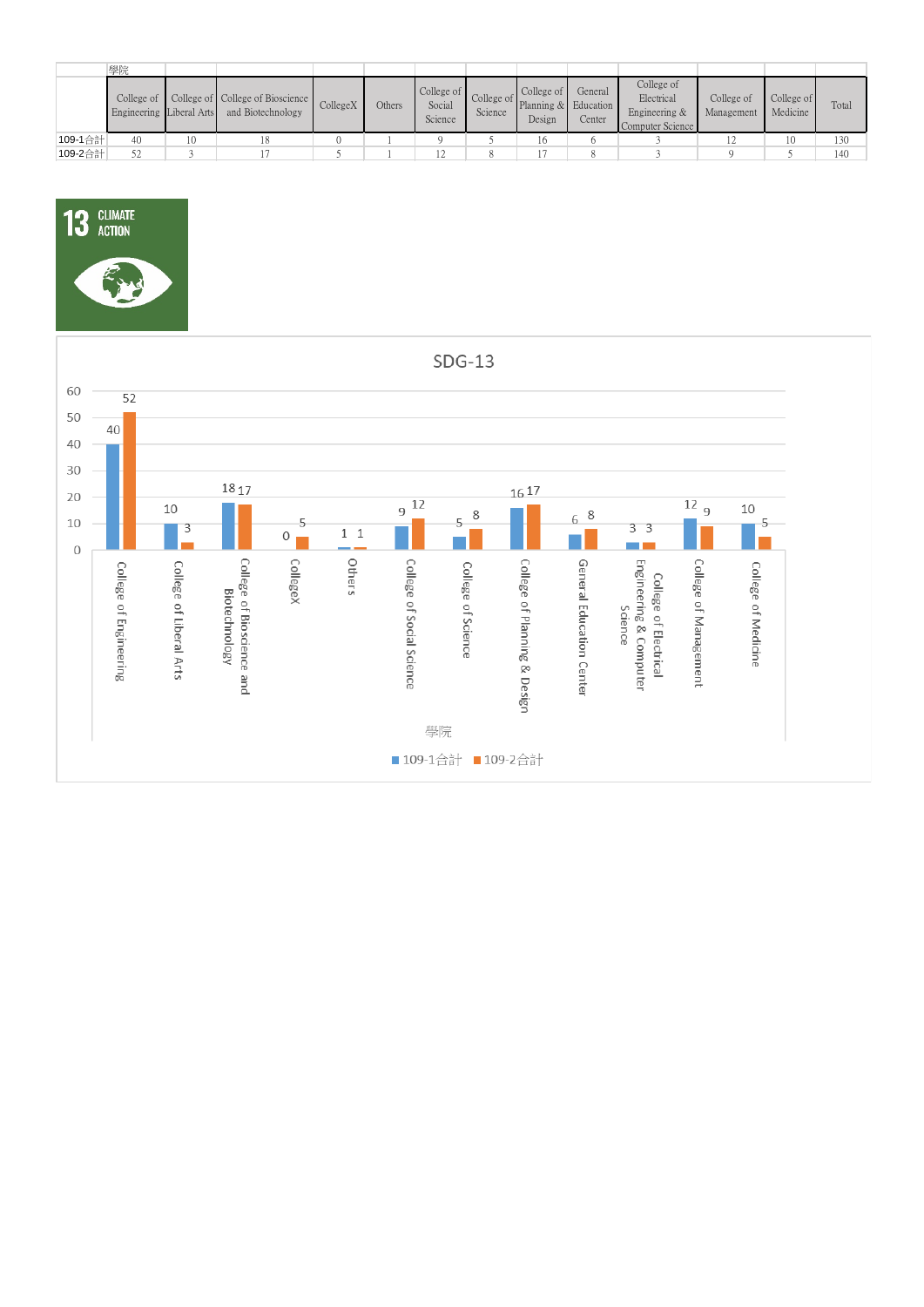|         | 學院                                     |    |                                                       |          |        |                                 |         |                                                         |                   |                                                               |                          |                        |       |
|---------|----------------------------------------|----|-------------------------------------------------------|----------|--------|---------------------------------|---------|---------------------------------------------------------|-------------------|---------------------------------------------------------------|--------------------------|------------------------|-------|
|         | College of<br>Engineering Liberal Arts |    | College of College of Bioscience<br>and Biotechnology | CollegeX | Others | College of<br>Social<br>Science | Science | College of<br>College of Planning & Education<br>Design | General<br>Center | College of<br>Electrical<br>Engineering &<br>Computer Science | College of<br>Management | College of<br>Medicine | Total |
| 109-1合計 | 40                                     | 10 |                                                       |          |        |                                 |         |                                                         |                   |                                                               |                          | 10                     | 130   |
| 109-2合計 | 52                                     |    |                                                       |          |        |                                 |         |                                                         |                   |                                                               |                          |                        | 140   |



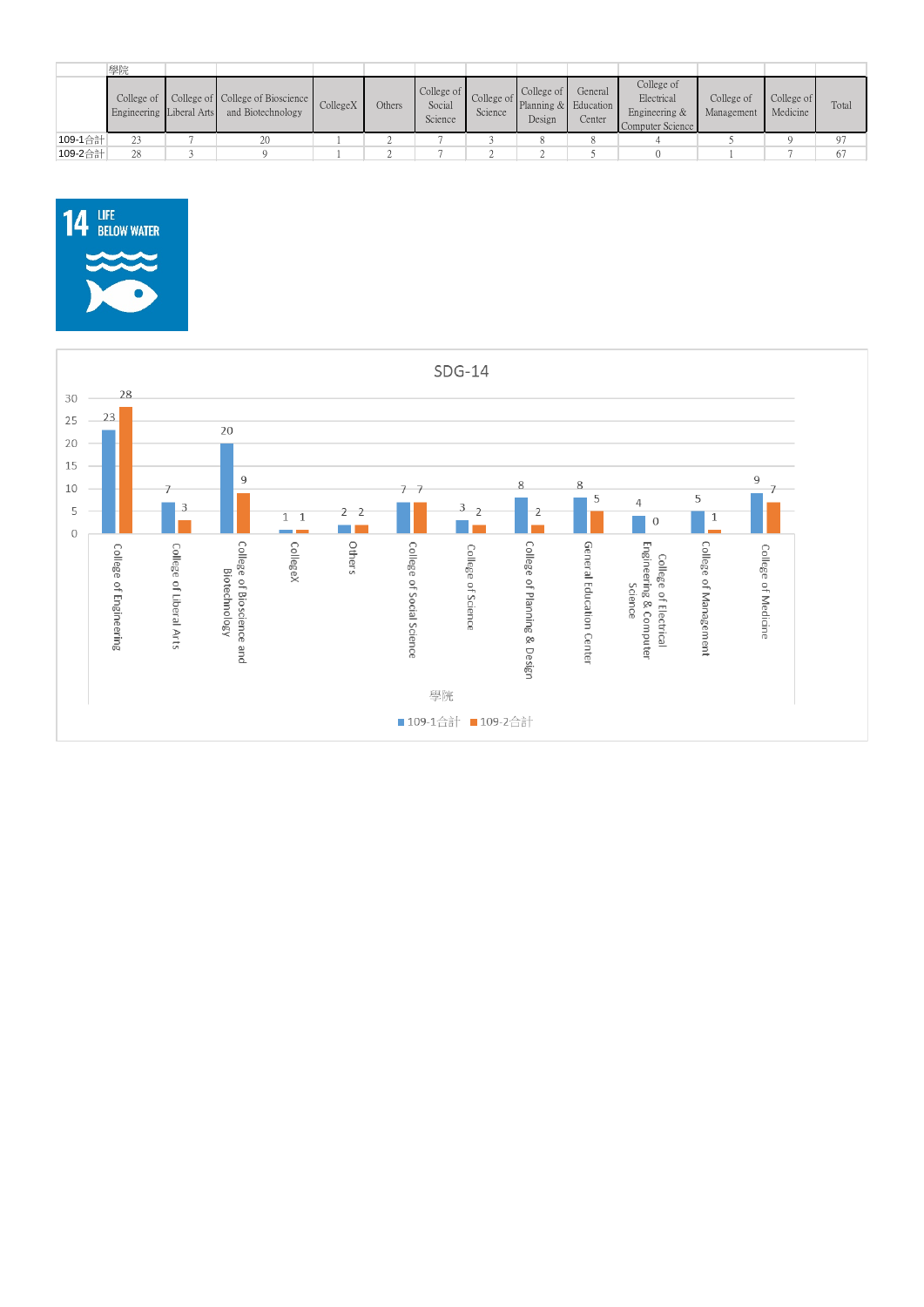|         | 學院                                     |                                                       |          |        |                                 |         |                                                                   |                                |                                                               |                          |                        |       |
|---------|----------------------------------------|-------------------------------------------------------|----------|--------|---------------------------------|---------|-------------------------------------------------------------------|--------------------------------|---------------------------------------------------------------|--------------------------|------------------------|-------|
|         | College of<br>Engineering Liberal Arts | College of College of Bioscience<br>and Biotechnology | CollegeX | Others | College of<br>Social<br>Science | Science | College of<br>$\blacksquare$ College of Planning & Edi-<br>Design | General<br>Education<br>Center | College of<br>Electrical<br>Engineering &<br>Computer Science | College of<br>Management | College of<br>Medicine | Total |
| 109-1合計 | 23                                     | 20                                                    |          |        |                                 |         |                                                                   |                                |                                                               |                          |                        | Q.    |
| 109-2合計 | 28                                     |                                                       |          |        |                                 |         |                                                                   |                                |                                                               |                          |                        | 67    |



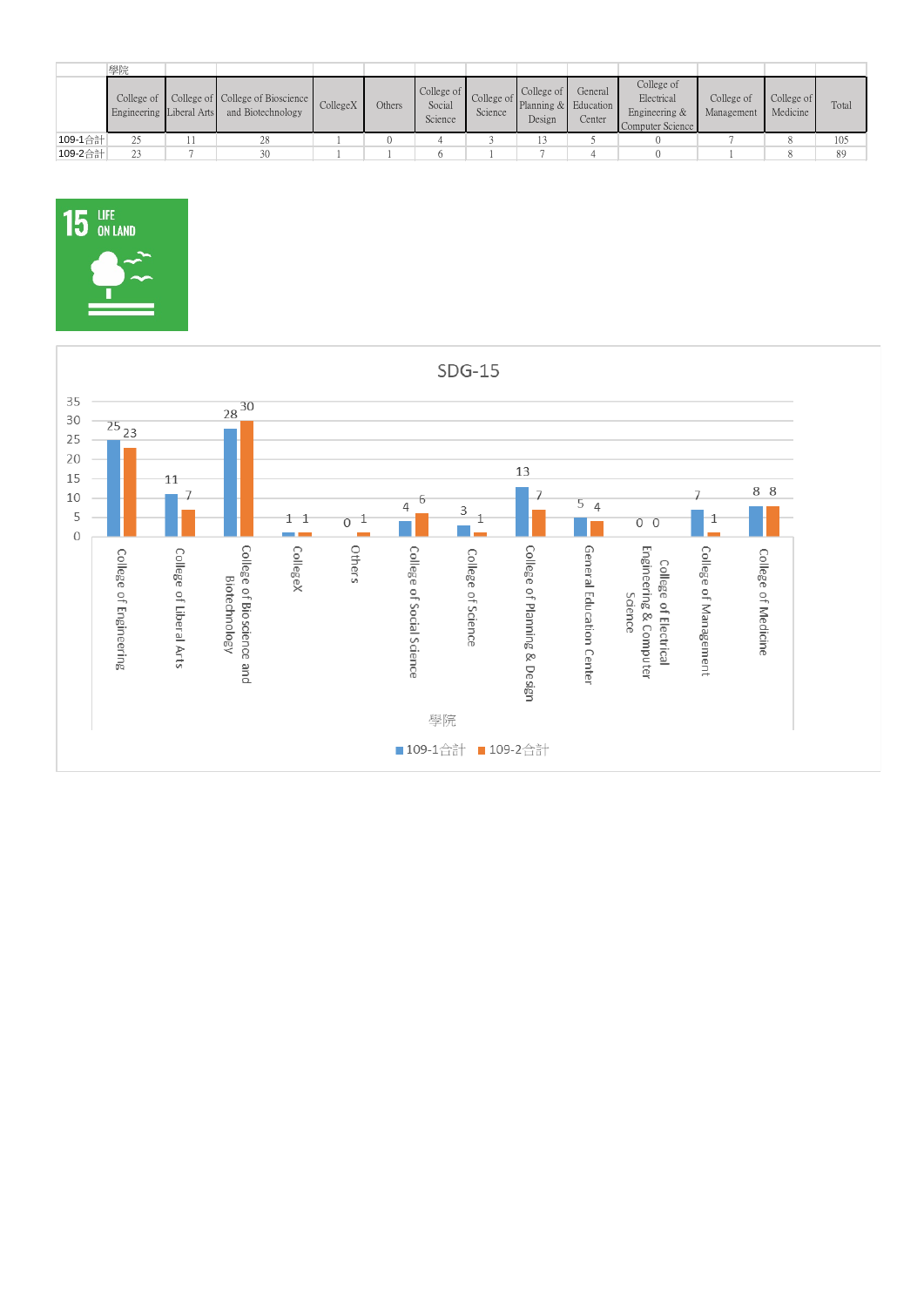|         | 學院                                                    |                                                       |          |        |                                 |         |                                                         |                   |                                                               |                          |                        |       |
|---------|-------------------------------------------------------|-------------------------------------------------------|----------|--------|---------------------------------|---------|---------------------------------------------------------|-------------------|---------------------------------------------------------------|--------------------------|------------------------|-------|
|         | College of $\blacksquare$<br>Engineering Liberal Arts | College of College of Bioscience<br>and Biotechnology | CollegeX | Others | College of<br>Social<br>Science | Science | College of<br>College of Planning & Education<br>Design | General<br>Center | College of<br>Electrical<br>Engineering &<br>Computer Science | College of<br>Management | College of<br>Medicine | Total |
| 109-1合計 |                                                       | 28                                                    |          |        |                                 |         |                                                         |                   |                                                               |                          |                        | 105   |
| 109-2合計 | $2^{\circ}$                                           | 30                                                    |          |        |                                 |         |                                                         |                   |                                                               |                          |                        | 89    |



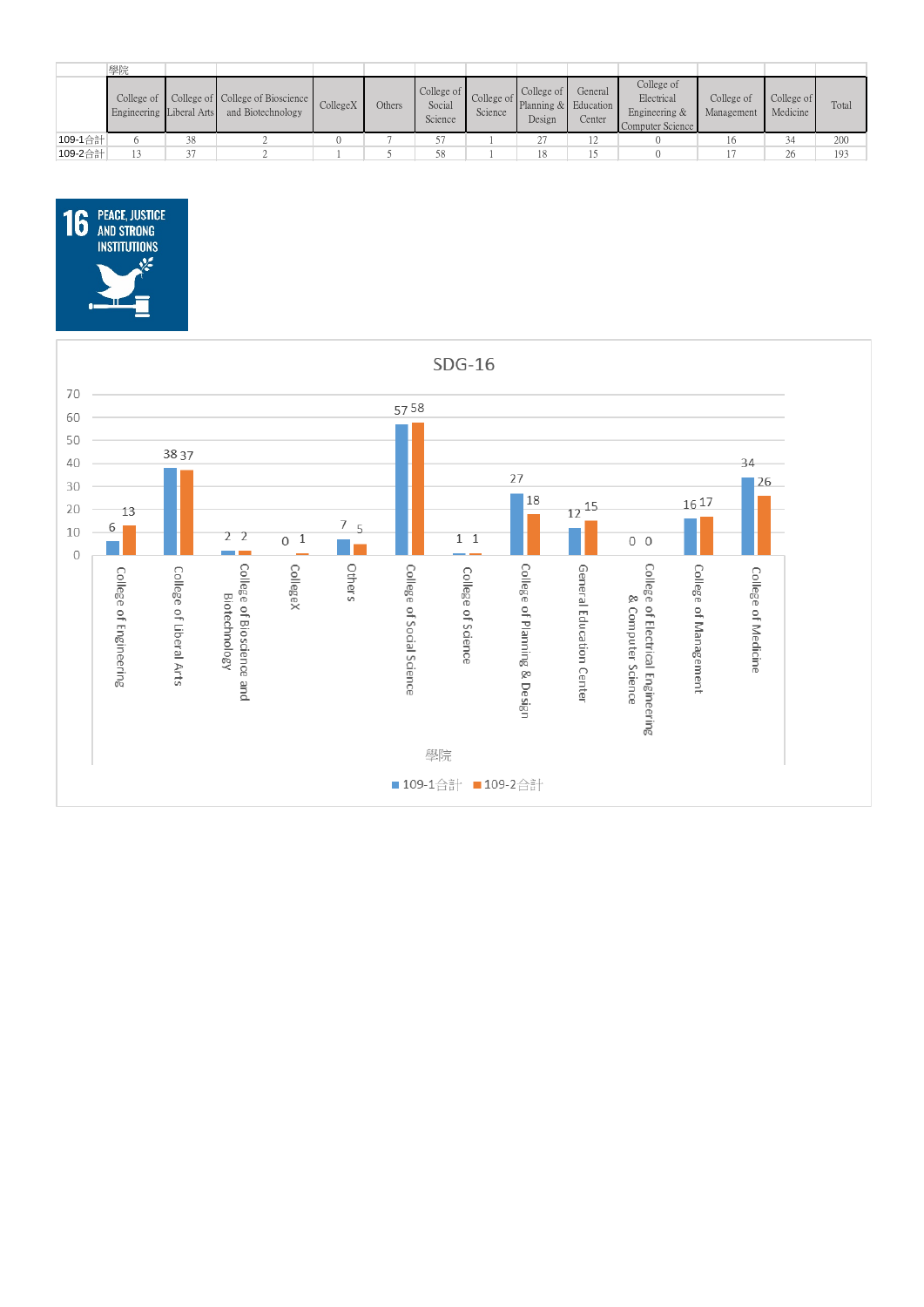|         | 學院                                     |    |                                                       |          |        |                                 |         |                                                         |                   |                                                               |                          |                        |       |
|---------|----------------------------------------|----|-------------------------------------------------------|----------|--------|---------------------------------|---------|---------------------------------------------------------|-------------------|---------------------------------------------------------------|--------------------------|------------------------|-------|
|         | College of<br>Engineering Liberal Arts |    | College of College of Bioscience<br>and Biotechnology | CollegeX | Others | College of<br>Social<br>Science | Science | College of<br>College of Planning & Education<br>Design | General<br>Center | College of<br>Electrical<br>Engineering &<br>Computer Science | College of<br>Management | College of<br>Medicine | Total |
| 109-1合計 |                                        | 38 |                                                       |          |        |                                 |         | 27                                                      |                   |                                                               | 16                       | 34                     | 200   |
| 109-2合計 |                                        | 37 |                                                       |          |        | 58                              |         | 18                                                      |                   |                                                               |                          | 26                     | 193   |